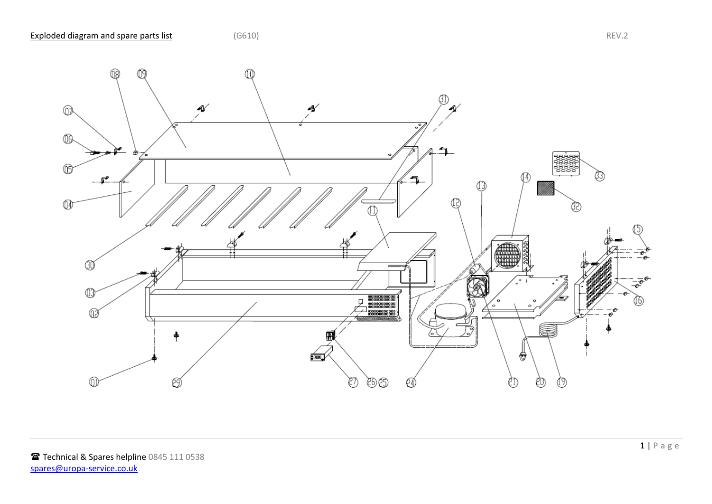